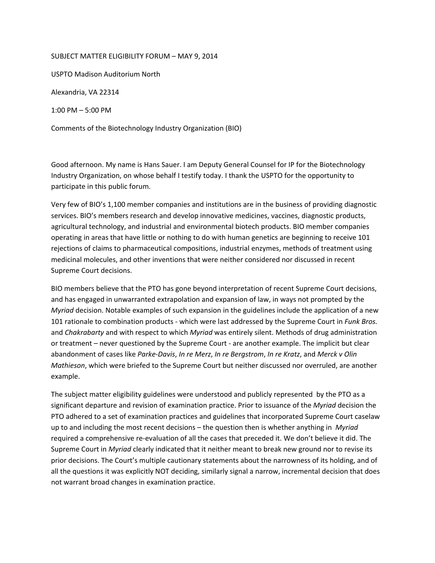## SUBJECT MATTER ELIGIBILITY FORUM – MAY 9, 2014

USPTO Madison Auditorium North

Alexandria, VA 22314

1:00 PM – 5:00 PM

Comments of the Biotechnology Industry Organization (BIO)

 Good afternoon. My name is Hans Sauer. I am Deputy General Counsel for IP for the Biotechnology Industry Organization, on whose behalf I testify today. I thank the USPTO for the opportunity to participate in this public forum.

 Very few of BIO's 1,100 member companies and institutions are in the business of providing diagnostic services. BIO's members research and develop innovative medicines, vaccines, diagnostic products, agricultural technology, and industrial and environmental biotech products. BIO member companies operating in areas that have little or nothing to do with human genetics are beginning to receive 101 rejections of claims to pharmaceutical compositions, industrial enzymes, methods of treatment using medicinal molecules, and other inventions that were neither considered nor discussed in recent Supreme Court decisions.

 BIO members believe that the PTO has gone beyond interpretation of recent Supreme Court decisions, and has engaged in unwarranted extrapolation and expansion of law, in ways not prompted by the *Myriad* decision. Notable examples of such expansion in the guidelines include the application of a new 101 rationale to combination products ‐ which were last addressed by the Supreme Court in *Funk Bros.* and *Chakrabarty* and with respect to which *Myriad* was entirely silent. Methods of drug administration or treatment – never questioned by the Supreme Court ‐ are another example. The implicit but clear abandonment of cases like Parke-Davis, In re Merz, In re Bergstrom, In re Kratz, and Merck v Olin *Mathieson*, which were briefed to the Supreme Court but neither discussed nor overruled, are another example.

 The subject matter eligibility guidelines were understood and publicly represented by the PTO as a significant departure and revision of examination practice. Prior to issuance of the *Myriad* decision the PTO adhered to a set of examination practices and guidelines that incorporated Supreme Court caselaw up to and including the most recent decisions – the question then is whether anything in *Myriad* required a comprehensive re‐evaluation of all the cases that preceded it. We don't believe it did. The Supreme Court in *Myriad* clearly indicated that it neither meant to break new ground nor to revise its prior decisions. The Court's multiple cautionary statements about the narrowness of its holding, and of all the questions it was explicitly NOT deciding, similarly signal a narrow, incremental decision that does not warrant broad changes in examination practice.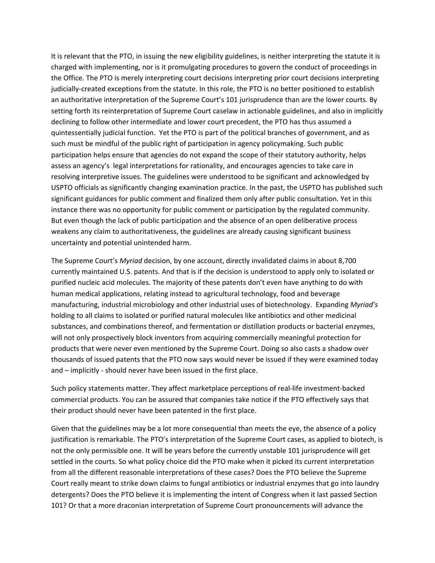It is relevant that the PTO, in issuing the new eligibility guidelines, is neither interpreting the statute it is charged with implementing, nor is it promulgating procedures to govern the conduct of proceedings in the Office. The PTO is merely interpreting court decisions interpreting prior court decisions interpreting judicially‐created exceptions from the statute. In this role, the PTO is no better positioned to establish an authoritative interpretation of the Supreme Court's 101 jurisprudence than are the lower courts. By setting forth its reinterpretation of Supreme Court caselaw in actionable guidelines, and also in implicitly declining to follow other intermediate and lower court precedent, the PTO has thus assumed a quintessentially judicial function. Yet the PTO is part of the political branches of government, and as such must be mindful of the public right of participation in agency policymaking. Such public participation helps ensure that agencies do not expand the scope of their statutory authority, helps assess an agency's legal interpretations for rationality, and encourages agencies to take care in resolving interpretive issues. The guidelines were understood to be significant and acknowledged by USPTO officials as significantly changing examination practice. In the past, the USPTO has published such significant guidances for public comment and finalized them only after public consultation. Yet in this instance there was no opportunity for public comment or participation by the regulated community. But even though the lack of public participation and the absence of an open deliberative process weakens any claim to authoritativeness, the guidelines are already causing significant business uncertainty and potential unintended harm.

 The Supreme Court's *Myriad* decision, by one account, directly invalidated claims in about 8,700 currently maintained U.S. patents. And that is if the decision is understood to apply only to isolated or purified nucleic acid molecules. The majority of these patents don't even have anything to do with human medical applications, relating instead to agricultural technology, food and beverage manufacturing, industrial microbiology and other industrial uses of biotechnology. Expanding *Myriad's* holding to all claims to isolated or purified natural molecules like antibiotics and other medicinal substances, and combinations thereof, and fermentation or distillation products or bacterial enzymes, will not only prospectively block inventors from acquiring commercially meaningful protection for products that were never even mentioned by the Supreme Court. Doing so also casts a shadow over thousands of issued patents that the PTO now says would never be issued if they were examined today and – implicitly ‐ should never have been issued in the first place.

 Such policy statements matter. They affect marketplace perceptions of real‐life investment‐backed commercial products. You can be assured that companies take notice if the PTO effectively says that their product should never have been patented in the first place.

 Given that the guidelines may be a lot more consequential than meets the eye, the absence of a policy justification is remarkable. The PTO's interpretation of the Supreme Court cases, as applied to biotech, is not the only permissible one. It will be years before the currently unstable 101 jurisprudence will get settled in the courts. So what policy choice did the PTO make when it picked its current interpretation from all the different reasonable interpretations of these cases? Does the PTO believe the Supreme Court really meant to strike down claims to fungal antibiotics or industrial enzymes that go into laundry detergents? Does the PTO believe it is implementing the intent of Congress when it last passed Section 101? Or that a more draconian interpretation of Supreme Court pronouncements will advance the